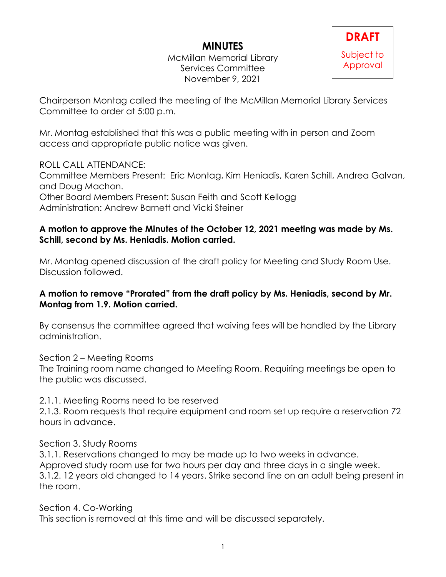# **MINUTES**

McMillan Memorial Library Services Committee November 9, 2021

Chairperson Montag called the meeting of the McMillan Memorial Library Services Committee to order at 5:00 p.m.

Mr. Montag established that this was a public meeting with in person and Zoom access and appropriate public notice was given.

## ROLL CALL ATTENDANCE:

Committee Members Present: Eric Montag, Kim Heniadis, Karen Schill, Andrea Galvan, and Doug Machon. Other Board Members Present: Susan Feith and Scott Kellogg

Administration: Andrew Barnett and Vicki Steiner

### **A motion to approve the Minutes of the October 12, 2021 meeting was made by Ms. Schill, second by Ms. Heniadis. Motion carried.**

Mr. Montag opened discussion of the draft policy for Meeting and Study Room Use. Discussion followed.

## **A motion to remove "Prorated" from the draft policy by Ms. Heniadis, second by Mr. Montag from 1.9. Motion carried.**

By consensus the committee agreed that waiving fees will be handled by the Library administration.

Section 2 – Meeting Rooms The Training room name changed to Meeting Room. Requiring meetings be open to the public was discussed.

2.1.1. Meeting Rooms need to be reserved

2.1.3. Room requests that require equipment and room set up require a reservation 72 hours in advance.

Section 3. Study Rooms

3.1.1. Reservations changed to may be made up to two weeks in advance. Approved study room use for two hours per day and three days in a single week. 3.1.2. 12 years old changed to 14 years. Strike second line on an adult being present in the room.

Section 4. Co-Working This section is removed at this time and will be discussed separately.